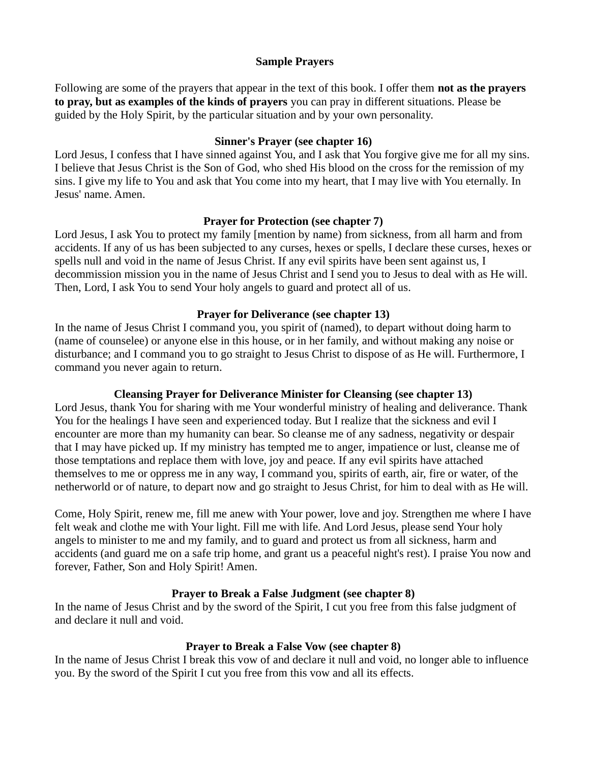### Sample Prayers

Following are some of the prayers that appear in the text of this book. I offer them **not as the prayers** to pray, but as examples of the kinds of prayers you can pray in different situations. Please be guided by the Holy Spirit, by the particular situation and by your own personality.

### Sinner's Prayer (see chapter 16)

Lord Jesus, I confess that I have sinned against You, and I ask that You forgive give me for all my sins. I believe that Jesus Christ is the Son of God, who shed His blood on the cross for the remission of my sins. I give my life to You and ask that You come into my heart, that I may live with You eternally. In Jesus' name. Amen.

### Prayer for Protection (see chapter 7)

Lord Jesus, I ask You to protect my family [mention by name) from sickness, from all harm and from accidents. If any of us has been subjected to any curses, hexes or spells, I declare these curses, hexes or spells null and void in the name of Jesus Christ. If any evil spirits have been sent against us, I decommission mission you in the name of Jesus Christ and I send you to Jesus to deal with as He will. Then, Lord, I ask You to send Your holy angels to guard and protect all of us.

### Prayer for Deliverance (see chapter 13)

In the name of Jesus Christ I command you, you spirit of (named), to depart without doing harm to (name of counselee) or anyone else in this house, or in her family, and without making any noise or disturbance; and I command you to go straight to Jesus Christ to dispose of as He will. Furthermore, I command you never again to return.

# Cleansing Prayer for Deliverance Minister for Cleansing (see chapter 13)

Lord Jesus, thank You for sharing with me Your wonderful ministry of healing and deliverance. Thank You for the healings I have seen and experienced today. But I realize that the sickness and evil I encounter are more than my humanity can bear. So cleanse me of any sadness, negativity or despair that I may have picked up. If my ministry has tempted me to anger, impatience or lust, cleanse me of those temptations and replace them with love, joy and peace. If any evil spirits have attached themselves to me or oppress me in any way, I command you, spirits of earth, air, fire or water, of the netherworld or of nature, to depart now and go straight to Jesus Christ, for him to deal with as He will.

Come, Holy Spirit, renew me, fill me anew with Your power, love and joy. Strengthen me where I have felt weak and clothe me with Your light. Fill me with life. And Lord Jesus, please send Your holy angels to minister to me and my family, and to guard and protect us from all sickness, harm and accidents (and guard me on a safe trip home, and grant us a peaceful night's rest). I praise You now and forever, Father, Son and Holy Spirit! Amen.

# Prayer to Break a False Judgment (see chapter 8)

In the name of Jesus Christ and by the sword of the Spirit, I cut you free from this false judgment of and declare it null and void.

# Prayer to Break a False Vow (see chapter 8)

In the name of Jesus Christ I break this vow of and declare it null and void, no longer able to influence you. By the sword of the Spirit I cut you free from this vow and all its effects.